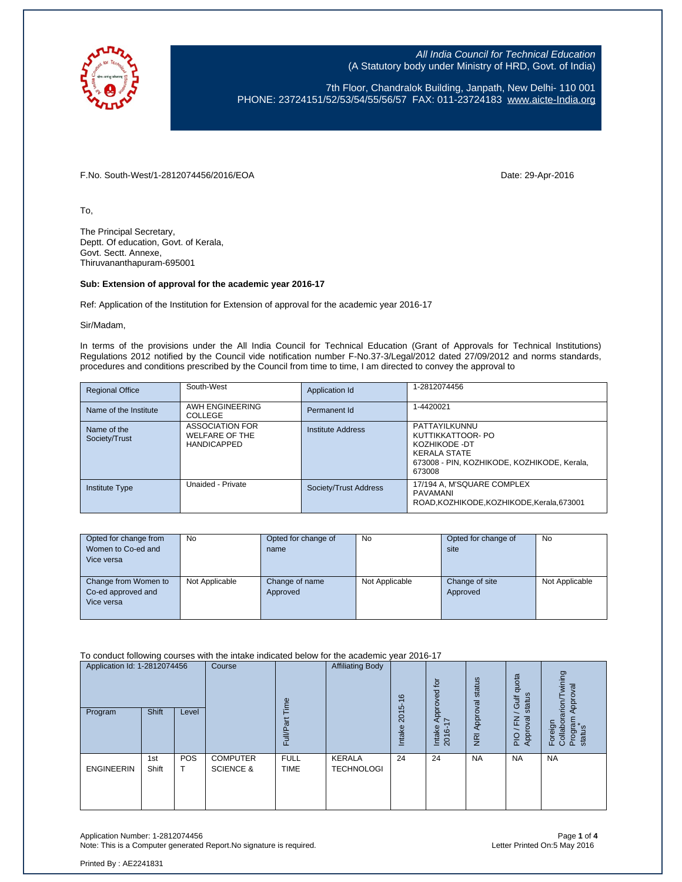

7th Floor, Chandralok Building, Janpath, New Delhi- 110 001 PHONE: 23724151/52/53/54/55/56/57 FAX: 011-23724183 [www.aicte-India.org](http://www.aicte-india.org/)

F.No. South-West/1-2812074456/2016/EOA Date: 29-Apr-2016

To,

The Principal Secretary, Deptt. Of education, Govt. of Kerala, Govt. Sectt. Annexe, Thiruvananthapuram-695001

## **Sub: Extension of approval for the academic year 2016-17**

Ref: Application of the Institution for Extension of approval for the academic year 2016-17

Sir/Madam,

In terms of the provisions under the All India Council for Technical Education (Grant of Approvals for Technical Institutions) Regulations 2012 notified by the Council vide notification number F-No.37-3/Legal/2012 dated 27/09/2012 and norms standards, procedures and conditions prescribed by the Council from time to time, I am directed to convey the approval to

| <b>Regional Office</b>       | South-West                                                     | Application Id        | 1-2812074456                                                                                                                        |
|------------------------------|----------------------------------------------------------------|-----------------------|-------------------------------------------------------------------------------------------------------------------------------------|
| Name of the Institute        | AWH ENGINEERING<br>COLLEGE                                     | Permanent Id          | 1-4420021                                                                                                                           |
| Name of the<br>Society/Trust | <b>ASSOCIATION FOR</b><br>WELFARE OF THE<br><b>HANDICAPPED</b> | Institute Address     | PATTAYILKUNNU<br>KUTTIKKATTOOR- PO<br>KOZHIKODE -DT<br><b>KERALA STATE</b><br>673008 - PIN, KOZHIKODE, KOZHIKODE, Kerala,<br>673008 |
| <b>Institute Type</b>        | Unaided - Private                                              | Society/Trust Address | 17/194 A, M'SQUARE COMPLEX<br>PAVAMANI<br>ROAD, KOZHIKODE, KOZHIKODE, Kerala, 673001                                                |

| Opted for change from | <b>No</b>      | Opted for change of | <b>No</b>      | Opted for change of | <b>No</b>      |
|-----------------------|----------------|---------------------|----------------|---------------------|----------------|
| Women to Co-ed and    |                | name                |                | site                |                |
| Vice versa            |                |                     |                |                     |                |
|                       |                |                     |                |                     |                |
| Change from Women to  | Not Applicable | Change of name      | Not Applicable | Change of site      | Not Applicable |
| Co-ed approved and    |                | Approved            |                | Approved            |                |
| Vice versa            |                |                     |                |                     |                |
|                       |                |                     |                |                     |                |

To conduct following courses with the intake indicated below for the academic year 2016-17

| Application Id: 1-2812074456<br>Shift<br>Program<br>Level |              | Course   | euil                                    | <b>Affiliating Body</b>    | $\circ$<br>$\overline{ }$<br>2015 | $\overline{p}$<br>Approved<br>7 | status<br>Approval | quota<br>status<br><b>Jir</b><br>roval<br>준 | wining<br>Approval<br>rarion/<br>Program<br>status |                     |
|-----------------------------------------------------------|--------------|----------|-----------------------------------------|----------------------------|-----------------------------------|---------------------------------|--------------------|---------------------------------------------|----------------------------------------------------|---------------------|
|                                                           |              |          |                                         | <b>Full/Pa</b>             |                                   | Intake                          | Intake<br>2016-1   | $\overline{g}$                              | App<br>$rac{O}{P}$                                 | Foreign<br>Collabor |
| <b>ENGINEERIN</b>                                         | 1st<br>Shift | POS<br>T | <b>COMPUTER</b><br><b>SCIENCE &amp;</b> | <b>FULL</b><br><b>TIME</b> | KERALA<br><b>TECHNOLOGI</b>       | 24                              | 24                 | <b>NA</b>                                   | <b>NA</b>                                          | <b>NA</b>           |

Application Number: 1-2812074456<br>Note: This is a Computer generated Report.No signature is required.<br>Letter Printed On:5 May 2016 Note: This is a Computer generated Report. No signature is required.

Printed By : AE2241831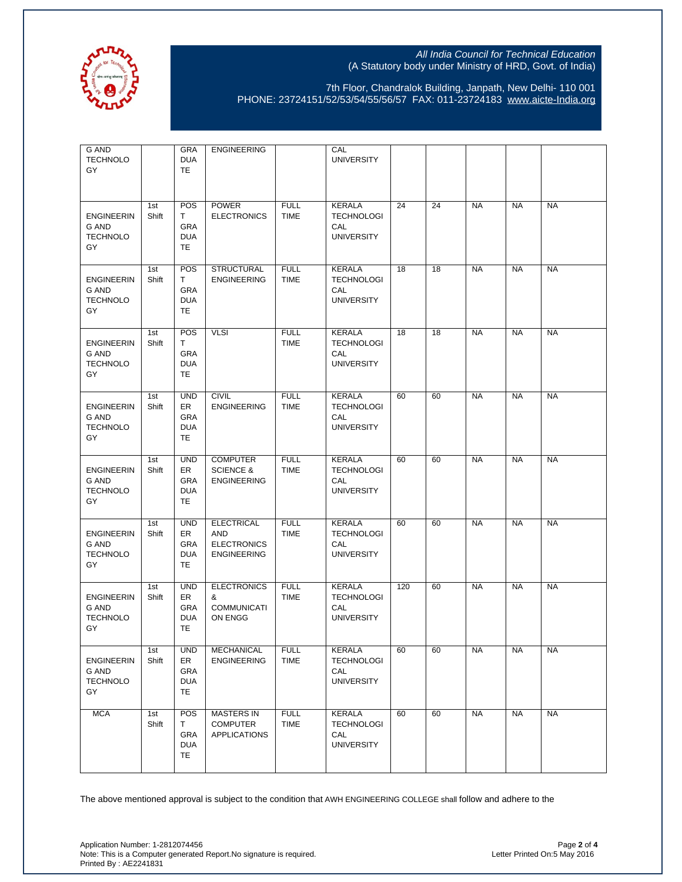

7th Floor, Chandralok Building, Janpath, New Delhi- 110 001 PHONE: 23724151/52/53/54/55/56/57 FAX: 011-23724183 [www.aicte-India.org](http://www.aicte-india.org/)

| G AND<br><b>TECHNOLO</b><br>GY                      |              | GRA<br><b>DUA</b><br>TE.                                  | <b>ENGINEERING</b>                                                          |                            | CAL<br><b>UNIVERSITY</b>                                       |     |    |           |           |           |
|-----------------------------------------------------|--------------|-----------------------------------------------------------|-----------------------------------------------------------------------------|----------------------------|----------------------------------------------------------------|-----|----|-----------|-----------|-----------|
| <b>ENGINEERIN</b><br>G AND<br><b>TECHNOLO</b><br>GY | 1st<br>Shift | POS<br>T.<br>GRA<br><b>DUA</b><br>TE                      | <b>POWER</b><br><b>ELECTRONICS</b>                                          | <b>FULL</b><br><b>TIME</b> | KERALA<br><b>TECHNOLOGI</b><br>CAL<br><b>UNIVERSITY</b>        | 24  | 24 | <b>NA</b> | <b>NA</b> | <b>NA</b> |
| <b>ENGINEERIN</b><br>G AND<br><b>TECHNOLO</b><br>GY | 1st<br>Shift | POS<br>T<br>GRA<br><b>DUA</b><br>TE                       | <b>STRUCTURAL</b><br><b>ENGINEERING</b>                                     | <b>FULL</b><br><b>TIME</b> | KERALA<br><b>TECHNOLOGI</b><br>CAL<br><b>UNIVERSITY</b>        | 18  | 18 | <b>NA</b> | <b>NA</b> | <b>NA</b> |
| <b>ENGINEERIN</b><br>G AND<br><b>TECHNOLO</b><br>GY | 1st<br>Shift | POS<br>Τ<br>GRA<br><b>DUA</b><br>TE                       | <b>VLSI</b>                                                                 | <b>FULL</b><br><b>TIME</b> | KERALA<br><b>TECHNOLOGI</b><br>CAL<br><b>UNIVERSITY</b>        | 18  | 18 | <b>NA</b> | <b>NA</b> | <b>NA</b> |
| <b>ENGINEERIN</b><br>G AND<br><b>TECHNOLO</b><br>GY | 1st<br>Shift | <b>UND</b><br>ER<br>GRA<br><b>DUA</b><br>TE               | <b>CIVIL</b><br><b>ENGINEERING</b>                                          | <b>FULL</b><br><b>TIME</b> | KERALA<br><b>TECHNOLOGI</b><br>CAL<br><b>UNIVERSITY</b>        | 60  | 60 | <b>NA</b> | <b>NA</b> | <b>NA</b> |
| <b>ENGINEERIN</b><br>G AND<br><b>TECHNOLO</b><br>GY | 1st<br>Shift | <b>UND</b><br>ER<br>GRA<br><b>DUA</b><br>TE               | <b>COMPUTER</b><br><b>SCIENCE &amp;</b><br><b>ENGINEERING</b>               | <b>FULL</b><br><b>TIME</b> | KERALA<br><b>TECHNOLOGI</b><br>CAL<br><b>UNIVERSITY</b>        | 60  | 60 | <b>NA</b> | <b>NA</b> | <b>NA</b> |
| <b>ENGINEERIN</b><br>G AND<br><b>TECHNOLO</b><br>GY | 1st<br>Shift | <b>UND</b><br>ER<br><b>GRA</b><br><b>DUA</b><br>TE        | <b>ELECTRICAL</b><br><b>AND</b><br><b>ELECTRONICS</b><br><b>ENGINEERING</b> | <b>FULL</b><br><b>TIME</b> | <b>KERALA</b><br><b>TECHNOLOGI</b><br>CAL<br><b>UNIVERSITY</b> | 60  | 60 | <b>NA</b> | <b>NA</b> | <b>NA</b> |
| <b>ENGINEERIN</b><br>G AND<br><b>TECHNOLO</b><br>GY | 1st<br>Shift | <b>UND</b><br>ER<br><b>GRA</b><br><b>DUA</b><br><b>TE</b> | <b>ELECTRONICS</b><br>&<br><b>COMMUNICATI</b><br>ON ENGG                    | <b>FULL</b><br><b>TIME</b> | KERALA<br><b>TECHNOLOGI</b><br>CAL<br><b>UNIVERSITY</b>        | 120 | 60 | <b>NA</b> | <b>NA</b> | <b>NA</b> |
| <b>ENGINEERIN</b><br>G AND<br><b>TECHNOLO</b><br>GY | 1st<br>Shift | <b>UND</b><br>ER<br><b>GRA</b><br><b>DUA</b><br>TE        | MECHANICAL<br><b>ENGINEERING</b>                                            | <b>FULL</b><br><b>TIME</b> | KERALA<br><b>TECHNOLOGI</b><br>CAL<br><b>UNIVERSITY</b>        | 60  | 60 | <b>NA</b> | <b>NA</b> | <b>NA</b> |
| <b>MCA</b>                                          | 1st<br>Shift | POS<br>T<br><b>GRA</b><br><b>DUA</b><br>TE                | <b>MASTERS IN</b><br><b>COMPUTER</b><br><b>APPLICATIONS</b>                 | <b>FULL</b><br>TIME        | <b>KERALA</b><br><b>TECHNOLOGI</b><br>CAL<br><b>UNIVERSITY</b> | 60  | 60 | <b>NA</b> | <b>NA</b> | <b>NA</b> |

The above mentioned approval is subject to the condition that AWH ENGINEERING COLLEGE shall follow and adhere to the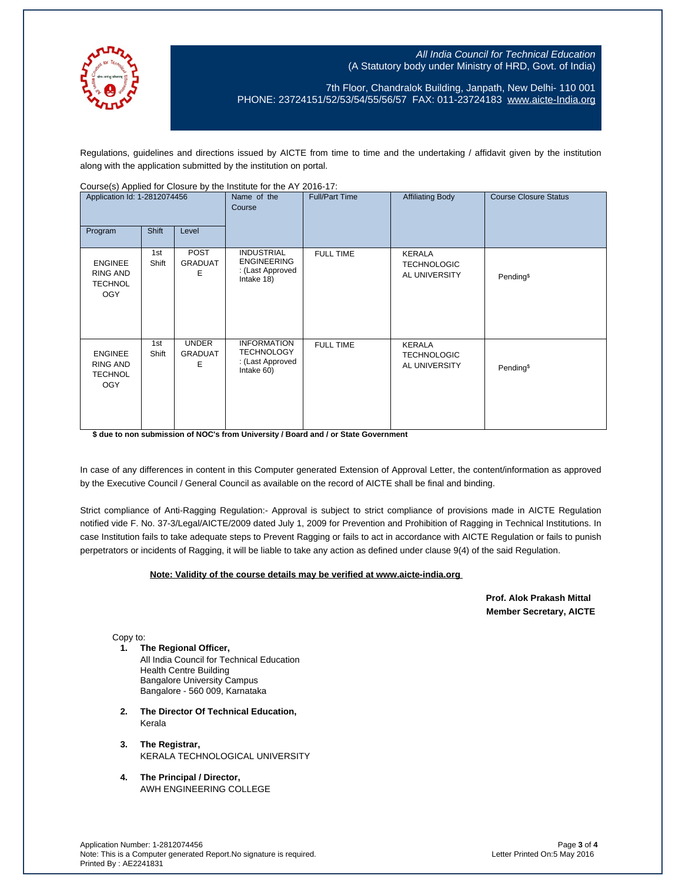

7th Floor, Chandralok Building, Janpath, New Delhi- 110 001 PHONE: 23724151/52/53/54/55/56/57 FAX: 011-23724183 [www.aicte-India.org](http://www.aicte-india.org/)

Regulations, guidelines and directions issued by AICTE from time to time and the undertaking / affidavit given by the institution along with the application submitted by the institution on portal.

| Application Id: 1-2812074456                                      |              |                                     | Name of the<br>Course                                                     | <b>Full/Part Time</b> | <b>Affiliating Body</b>                              | <b>Course Closure Status</b> |
|-------------------------------------------------------------------|--------------|-------------------------------------|---------------------------------------------------------------------------|-----------------------|------------------------------------------------------|------------------------------|
| Program                                                           | Shift        | Level                               |                                                                           |                       |                                                      |                              |
| <b>ENGINEE</b><br><b>RING AND</b><br><b>TECHNOL</b><br><b>OGY</b> | 1st<br>Shift | POST<br><b>GRADUAT</b><br>Е         | <b>INDUSTRIAL</b><br><b>ENGINEERING</b><br>: (Last Approved<br>Intake 18) | <b>FULL TIME</b>      | <b>KERALA</b><br><b>TECHNOLOGIC</b><br>AL UNIVERSITY | Pending <sup>\$</sup>        |
| <b>ENGINEE</b><br><b>RING AND</b><br><b>TECHNOL</b><br><b>OGY</b> | 1st<br>Shift | <b>UNDER</b><br><b>GRADUAT</b><br>Ε | <b>INFORMATION</b><br><b>TECHNOLOGY</b><br>: (Last Approved<br>Intake 60) | <b>FULL TIME</b>      | <b>KERALA</b><br><b>TECHNOLOGIC</b><br>AL UNIVERSITY | Pending <sup>\$</sup>        |

Course(s) Applied for Closure by the Institute for the AY 2016-17:

**\$ due to non submission of NOC's from University / Board and / or State Government**

In case of any differences in content in this Computer generated Extension of Approval Letter, the content/information as approved by the Executive Council / General Council as available on the record of AICTE shall be final and binding.

Strict compliance of Anti-Ragging Regulation:- Approval is subject to strict compliance of provisions made in AICTE Regulation notified vide F. No. 37-3/Legal/AICTE/2009 dated July 1, 2009 for Prevention and Prohibition of Ragging in Technical Institutions. In case Institution fails to take adequate steps to Prevent Ragging or fails to act in accordance with AICTE Regulation or fails to punish perpetrators or incidents of Ragging, it will be liable to take any action as defined under clause 9(4) of the said Regulation.

## **Note: Validity of the course details may be verified at www.aicte-india.org**

 **Prof. Alok Prakash Mittal Member Secretary, AICTE** 

Copy to:

- **1. The Regional Officer,** All India Council for Technical Education Health Centre Building Bangalore University Campus Bangalore - 560 009, Karnataka
- **2. The Director Of Technical Education,** Kerala
- **3. The Registrar,** KERALA TECHNOLOGICAL UNIVERSITY
- **4. The Principal / Director,** AWH ENGINEERING COLLEGE